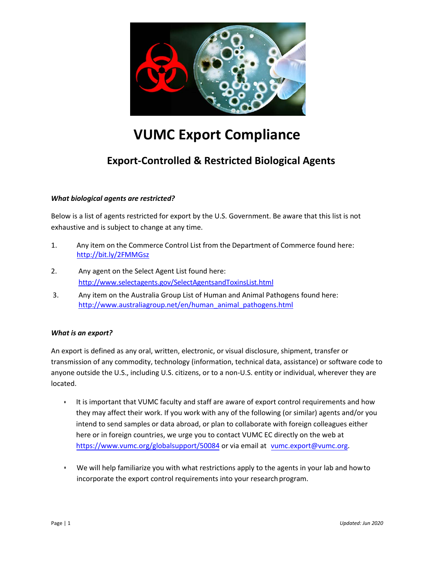

# **VUMC Export Compliance**

# **Export-Controlled & Restricted Biological Agents**

## *What biological agents are restricted?*

Below is a list of agents restricted for export by the U.S. Government. Be aware that this list is not exhaustive and is subject to change at any time.

- 1. Any item on the Commerce Control List from the Department of Commerce found here: <http://bit.ly/2FMMGsz>
- 2. Any agent on the Select Agent List found here: <http://www.selectagents.gov/SelectAgentsandToxinsList.html>
- 3. Any item on the Australia Group List of Human and Animal Pathogens found here: [http://www.australiagroup.net/en/human\\_animal\\_pathogens.html](http://www.australiagroup.net/en/human_animal_pathogens.html)

#### *What is an export?*

An export is defined as any oral, written, electronic, or visual disclosure, shipment, transfer or transmission of any commodity, technology (information, technical data, assistance) or software code to anyone outside the U.S., including U.S. citizens, or to a non-U.S. entity or individual, wherever they are located.

- It is important that VUMC faculty and staff are aware of export control requirements and how they may affect their work. If you work with any of the following (or similar) agents and/or you intend to send samples or data abroad, or plan to collaborate with foreign colleagues either here or in foreign countries, we urge you to contact VUMC EC directly on the web at https://www.vumc.org/globalsupport/50084 or via email at vumc.export@vumc.org.
- We will help familiarize you with what restrictions apply to the agents in your lab and how to incorporate the export control requirements into your research program.